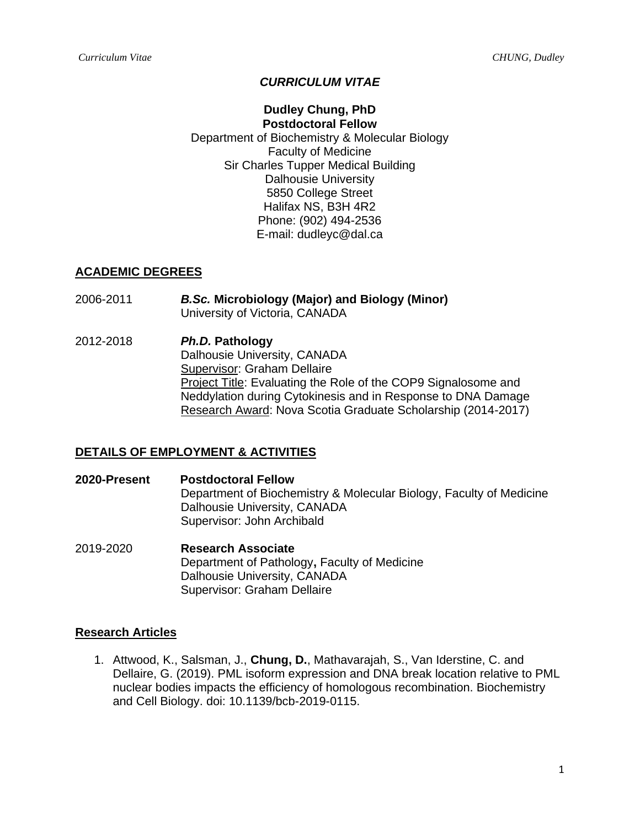# *CURRICULUM VITAE*

# **Dudley Chung, PhD**

**Postdoctoral Fellow** Department of Biochemistry & Molecular Biology Faculty of Medicine Sir Charles Tupper Medical Building Dalhousie University 5850 College Street Halifax NS, B3H 4R2 Phone: (902) 494-2536 E-mail: dudleyc@dal.ca

## **ACADEMIC DEGREES**

- 2006-2011 *B.Sc.* **Microbiology (Major) and Biology (Minor)**  University of Victoria, CANADA
- 2012-2018 *Ph.D.* **Pathology**  Dalhousie University, CANADA Supervisor: Graham Dellaire Project Title: Evaluating the Role of the COP9 Signalosome and Neddylation during Cytokinesis and in Response to DNA Damage Research Award: Nova Scotia Graduate Scholarship (2014-2017)

## **DETAILS OF EMPLOYMENT & ACTIVITIES**

**2020-Present Postdoctoral Fellow** Department of Biochemistry & Molecular Biology, Faculty of Medicine Dalhousie University, CANADA Supervisor: John Archibald

2019-2020 **Research Associate**  Department of Pathology**,** Faculty of Medicine Dalhousie University, CANADA Supervisor: Graham Dellaire

#### **Research Articles**

1. Attwood, K., Salsman, J., **Chung, D.**, Mathavarajah, S., Van Iderstine, C. and Dellaire, G. (2019). PML isoform expression and DNA break location relative to PML nuclear bodies impacts the efficiency of homologous recombination. Biochemistry and Cell Biology. doi: 10.1139/bcb-2019-0115.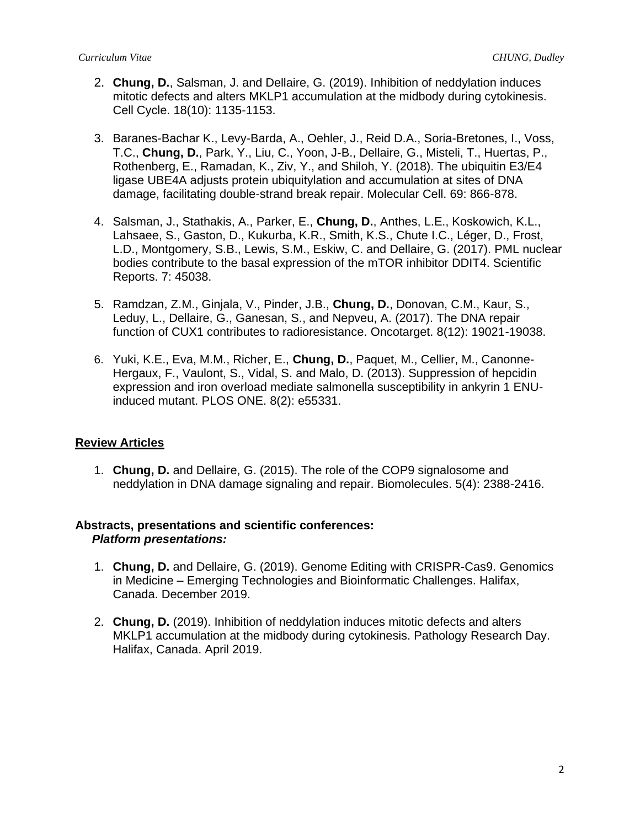- 2. **Chung, D.**, Salsman, J. and Dellaire, G. (2019). Inhibition of neddylation induces mitotic defects and alters MKLP1 accumulation at the midbody during cytokinesis. Cell Cycle. 18(10): 1135-1153.
- 3. Baranes-Bachar K., Levy-Barda, A., Oehler, J., Reid D.A., Soria-Bretones, I., Voss, T.C., **Chung, D.**, Park, Y., Liu, C., Yoon, J-B., Dellaire, G., Misteli, T., Huertas, P., Rothenberg, E., Ramadan, K., Ziv, Y., and Shiloh, Y. (2018). The ubiquitin E3/E4 ligase UBE4A adjusts protein ubiquitylation and accumulation at sites of DNA damage, facilitating double-strand break repair. Molecular Cell. 69: 866-878.
- 4. Salsman, J., Stathakis, A., Parker, E., **Chung, D.**, Anthes, L.E., Koskowich, K.L., Lahsaee, S., Gaston, D., Kukurba, K.R., Smith, K.S., Chute I.C., Léger, D., Frost, L.D., Montgomery, S.B., Lewis, S.M., Eskiw, C. and Dellaire, G. (2017). PML nuclear bodies contribute to the basal expression of the mTOR inhibitor DDIT4. Scientific Reports. 7: 45038.
- 5. Ramdzan, Z.M., Ginjala, V., Pinder, J.B., **Chung, D.**, Donovan, C.M., Kaur, S., Leduy, L., Dellaire, G., Ganesan, S., and Nepveu, A. (2017). The DNA repair function of CUX1 contributes to radioresistance. Oncotarget. 8(12): 19021-19038.
- 6. Yuki, K.E., Eva, M.M., Richer, E., **Chung, D.**, Paquet, M., Cellier, M., Canonne-Hergaux, F., Vaulont, S., Vidal, S. and Malo, D. (2013). Suppression of hepcidin expression and iron overload mediate salmonella susceptibility in ankyrin 1 ENUinduced mutant. PLOS ONE. 8(2): e55331.

# **Review Articles**

1. **Chung, D.** and Dellaire, G. (2015). The role of the COP9 signalosome and neddylation in DNA damage signaling and repair. Biomolecules. 5(4): 2388-2416.

## **Abstracts, presentations and scientific conferences:**   *Platform presentations:*

- 1. **Chung, D.** and Dellaire, G. (2019). Genome Editing with CRISPR-Cas9. Genomics in Medicine – Emerging Technologies and Bioinformatic Challenges. Halifax, Canada. December 2019.
- 2. **Chung, D.** (2019). Inhibition of neddylation induces mitotic defects and alters MKLP1 accumulation at the midbody during cytokinesis. Pathology Research Day. Halifax, Canada. April 2019.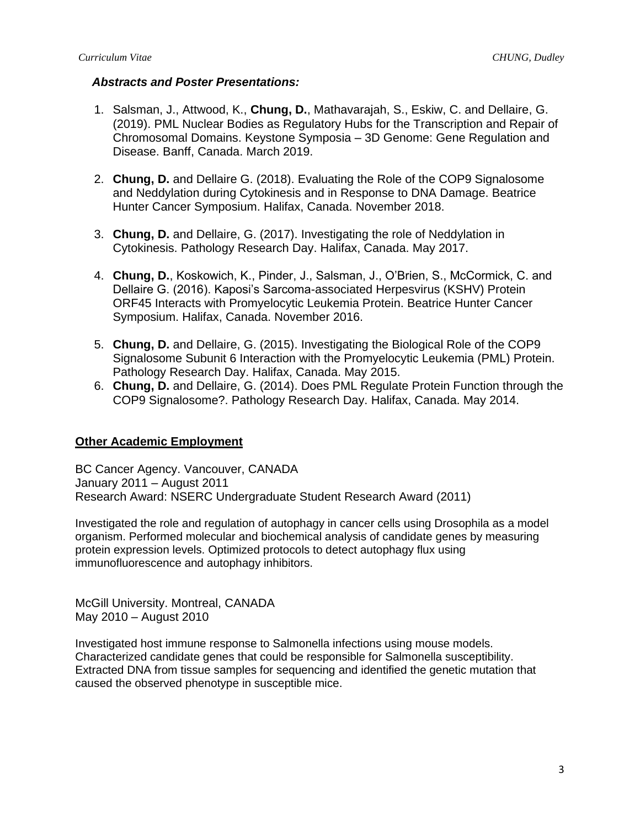### *Abstracts and Poster Presentations:*

- 1. Salsman, J., Attwood, K., **Chung, D.**, Mathavarajah, S., Eskiw, C. and Dellaire, G. (2019). PML Nuclear Bodies as Regulatory Hubs for the Transcription and Repair of Chromosomal Domains. Keystone Symposia – 3D Genome: Gene Regulation and Disease. Banff, Canada. March 2019.
- 2. **Chung, D.** and Dellaire G. (2018). Evaluating the Role of the COP9 Signalosome and Neddylation during Cytokinesis and in Response to DNA Damage. Beatrice Hunter Cancer Symposium. Halifax, Canada. November 2018.
- 3. **Chung, D.** and Dellaire, G. (2017). Investigating the role of Neddylation in Cytokinesis. Pathology Research Day. Halifax, Canada. May 2017.
- 4. **Chung, D.**, Koskowich, K., Pinder, J., Salsman, J., O'Brien, S., McCormick, C. and Dellaire G. (2016). Kaposi's Sarcoma-associated Herpesvirus (KSHV) Protein ORF45 Interacts with Promyelocytic Leukemia Protein. Beatrice Hunter Cancer Symposium. Halifax, Canada. November 2016.
- 5. **Chung, D.** and Dellaire, G. (2015). Investigating the Biological Role of the COP9 Signalosome Subunit 6 Interaction with the Promyelocytic Leukemia (PML) Protein. Pathology Research Day. Halifax, Canada. May 2015.
- 6. **Chung, D.** and Dellaire, G. (2014). Does PML Regulate Protein Function through the COP9 Signalosome?. Pathology Research Day. Halifax, Canada. May 2014.

## **Other Academic Employment**

BC Cancer Agency. Vancouver, CANADA January 2011 – August 2011 Research Award: NSERC Undergraduate Student Research Award (2011)

Investigated the role and regulation of autophagy in cancer cells using Drosophila as a model organism. Performed molecular and biochemical analysis of candidate genes by measuring protein expression levels. Optimized protocols to detect autophagy flux using immunofluorescence and autophagy inhibitors.

McGill University. Montreal, CANADA May 2010 – August 2010

Investigated host immune response to Salmonella infections using mouse models. Characterized candidate genes that could be responsible for Salmonella susceptibility. Extracted DNA from tissue samples for sequencing and identified the genetic mutation that caused the observed phenotype in susceptible mice.